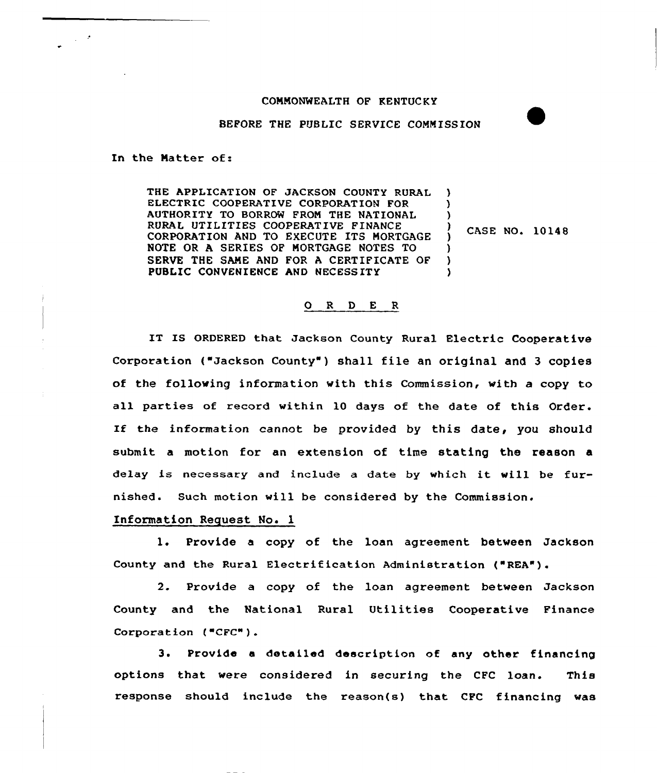## COMMONWEALTH OF KENTUCKY

BEFORE THE PUBLIC SERVICE COMMISSION

In the Matter of:

THE APPLICATION OF JACKSON COUNTY RURAL ELECTRIC COOPERATIVE CORPORATION FOR AUTHORITY TO BORROW FROM THE NATIONAL RURAL UTILITIES COOPERATIVE FINANCE CORPORATION AND TO EXECUTE ITS MORTGAGE NOTE OR A SERIES OF MORTGAGE NOTES TO SERVE THE SAME AND FOR A CERTIFICATE OF PUBLIC CONVENIENCE AND NECESS ITY ) ) ) ) )

CASE NO. 10148

## 0 <sup>R</sup> <sup>D</sup> E <sup>R</sup>

IT IS ORDERED that Jackson County Rural Electric Cooperative Corporation ("Jackson County") shall file an original and 3 copies of the following information with this Commission, with a copy to all parties of record within 10 days of the date of this Order. If the information cannot be provided by this date, you should submit a motion for an extension of time stating the reason a delay is necessary and include <sup>a</sup> date by which it will be furnished. Such motion will be considered by the Commission.

## Information Request No. 1

l. Provide <sup>a</sup> copy of the loan agreement between Jackson County and the Rural Electrification Administration ("REA").

2. Provide a copy of the loan agreement between Jackson County and the National Rural Utilities Cooperative Finance Corporation  $($ <sup> $#CFC" )$ </sup>.

3. Provide <sup>a</sup> detailed description of any other financing options that were considered in securing the CFC loan. This response should include the reason(s) that CFC financing was